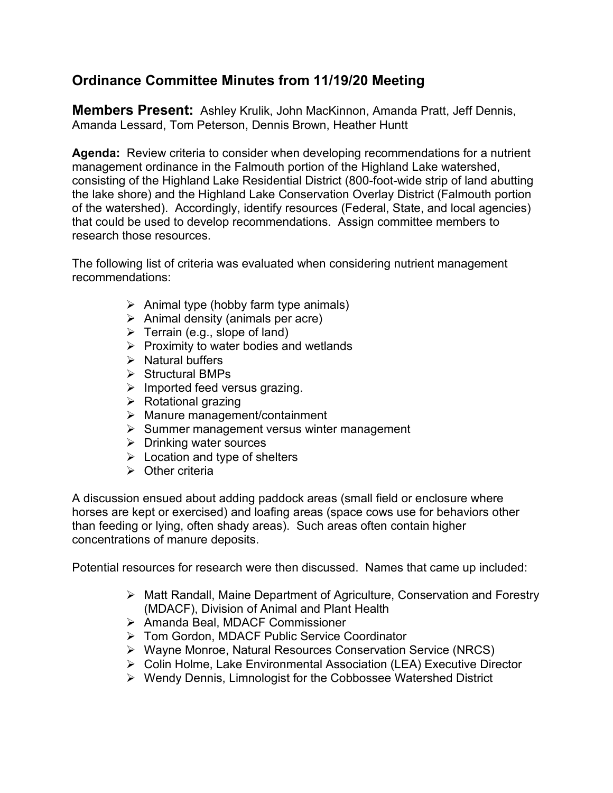## **Ordinance Committee Minutes from 11/19/20 Meeting**

**Members Present:** Ashley Krulik, John MacKinnon, Amanda Pratt, Jeff Dennis, Amanda Lessard, Tom Peterson, Dennis Brown, Heather Huntt

**Agenda:** Review criteria to consider when developing recommendations for a nutrient management ordinance in the Falmouth portion of the Highland Lake watershed, consisting of the Highland Lake Residential District (800-foot-wide strip of land abutting the lake shore) and the Highland Lake Conservation Overlay District (Falmouth portion of the watershed). Accordingly, identify resources (Federal, State, and local agencies) that could be used to develop recommendations. Assign committee members to research those resources.

The following list of criteria was evaluated when considering nutrient management recommendations:

- $\triangleright$  Animal type (hobby farm type animals)
- $\triangleright$  Animal density (animals per acre)
- $\triangleright$  Terrain (e.g., slope of land)
- $\triangleright$  Proximity to water bodies and wetlands
- $\triangleright$  Natural buffers
- $\triangleright$  Structural BMPs
- $\triangleright$  Imported feed versus grazing.
- $\triangleright$  Rotational grazing
- $\triangleright$  Manure management/containment
- $\triangleright$  Summer management versus winter management
- $\triangleright$  Drinking water sources
- $\triangleright$  Location and type of shelters
- $\triangleright$  Other criteria

A discussion ensued about adding paddock areas (small field or enclosure where horses are kept or exercised) and loafing areas (space cows use for behaviors other than feeding or lying, often shady areas). Such areas often contain higher concentrations of manure deposits.

Potential resources for research were then discussed. Names that came up included:

- Matt Randall, Maine Department of Agriculture, Conservation and Forestry (MDACF), Division of Animal and Plant Health
- Amanda Beal, MDACF Commissioner
- Tom Gordon, MDACF Public Service Coordinator
- ▶ Wayne Monroe, Natural Resources Conservation Service (NRCS)
- Colin Holme, Lake Environmental Association (LEA) Executive Director
- Wendy Dennis, Limnologist for the Cobbossee Watershed District